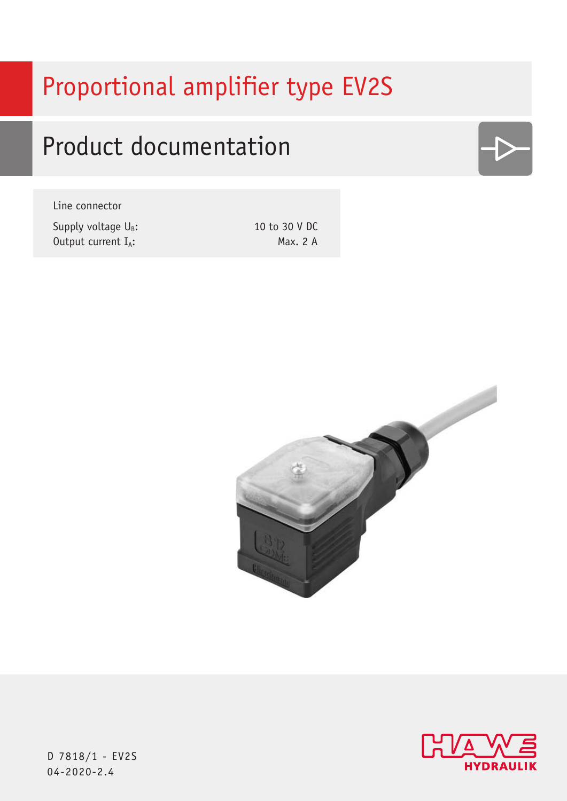# Proportional amplifier type EV2S

# Product documentation

Line connector

Supply voltage  $U_B$ : Output current IA:

10 to 30 V DC Max. 2 A







D 7818/1 - EV2S 04-2020-2.4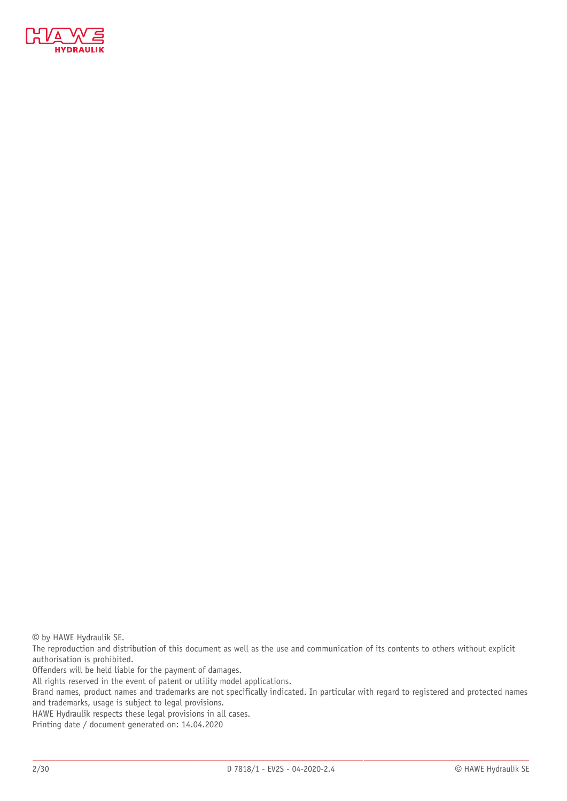

© by HAWE Hydraulik SE.

The reproduction and distribution of this document as well as the use and communication of its contents to others without explicit authorisation is prohibited.

Offenders will be held liable for the payment of damages.

All rights reserved in the event of patent or utility model applications.

Brand names, product names and trademarks are not specifically indicated. In particular with regard to registered and protected names and trademarks, usage is subject to legal provisions.

HAWE Hydraulik respects these legal provisions in all cases.

Printing date / document generated on: 14.04.2020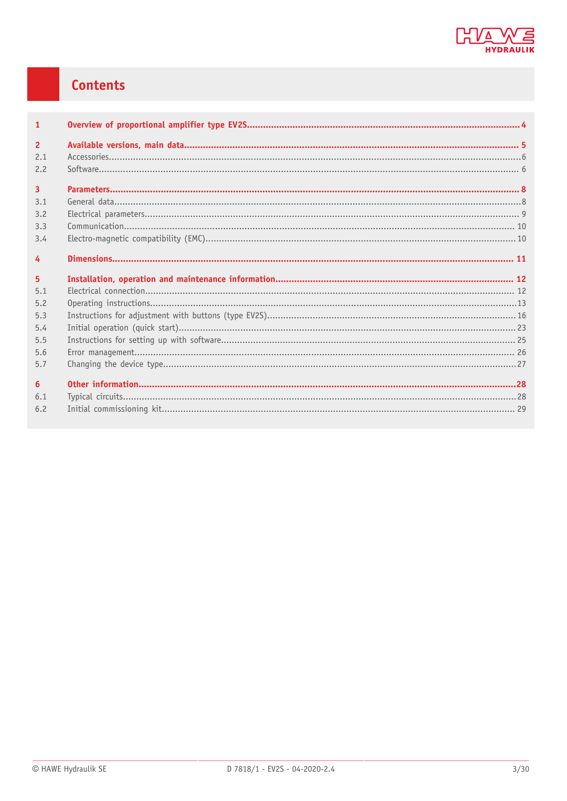

## **Contents**

| $\mathbf{1}$   |  |
|----------------|--|
| $\overline{2}$ |  |
| 2.1<br>2.2     |  |
| $\overline{3}$ |  |
| 3.1            |  |
| 3.2            |  |
| 3.3            |  |
| 3.4            |  |
| $\overline{4}$ |  |
|                |  |
| 5 <sup>5</sup> |  |
| 5.1            |  |
| 5.2            |  |
| 5.3            |  |
| 5.4            |  |
| 5.5            |  |
| 5.6            |  |
| 5.7            |  |
| 6              |  |
| 6.1            |  |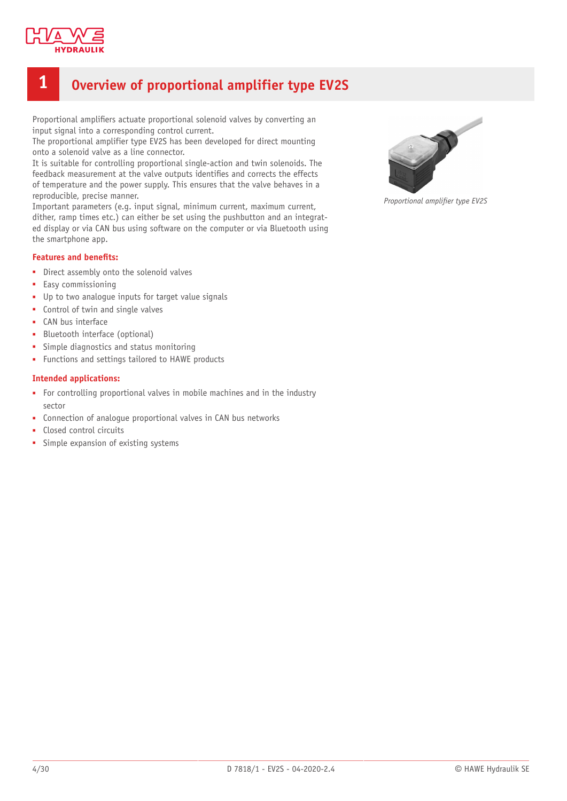

## <span id="page-3-0"></span>**1 Overview of proportional amplifier type EV2S**

Proportional amplifiers actuate proportional solenoid valves by converting an input signal into a corresponding control current.

The proportional amplifier type EV2S has been developed for direct mounting onto a solenoid valve as a line connector.

It is suitable for controlling proportional single-action and twin solenoids. The feedback measurement at the valve outputs identifies and corrects the effects of temperature and the power supply. This ensures that the valve behaves in a reproducible, precise manner.

Important parameters (e.g. input signal, minimum current, maximum current, dither, ramp times etc.) can either be set using the pushbutton and an integrated display or via CAN bus using software on the computer or via Bluetooth using the smartphone app.

#### **Features and benets:**

- Direct assembly onto the solenoid valves
- Easy commissioning
- Up to two analogue inputs for target value signals
- Control of twin and single valves
- CAN bus interface
- Bluetooth interface (optional)
- Simple diagnostics and status monitoring
- Functions and settings tailored to HAWE products

#### **Intended applications:**

- For controlling proportional valves in mobile machines and in the industry sector
- Connection of analoque proportional valves in CAN bus networks
- Closed control circuits
- Simple expansion of existing systems



**Proportional amplifier type EV2S**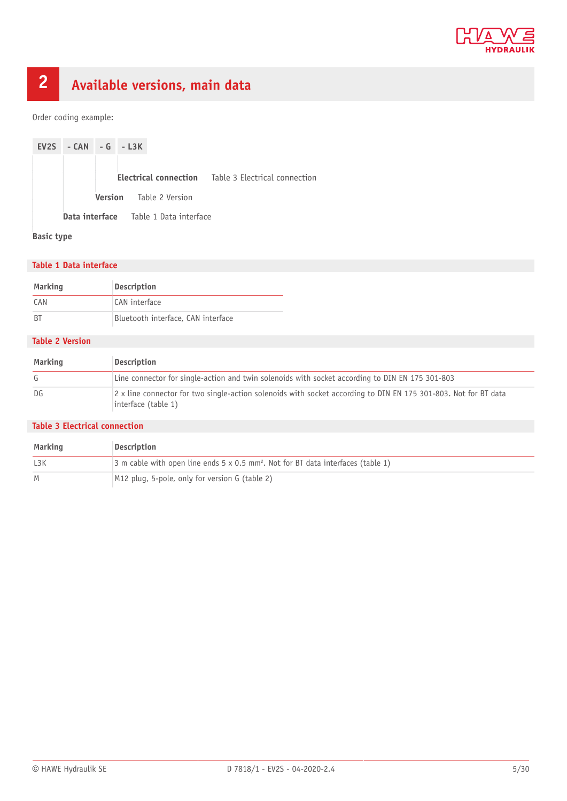

## <span id="page-4-0"></span>**2 Available versions, main data**

Order coding example:



**Basic type**

#### **Table 1 Data interface**

| Marking | <b>Description</b>                 |  |
|---------|------------------------------------|--|
| CAN     | CAN interface                      |  |
| B1      | Bluetooth interface, CAN interface |  |

#### **Table 2 Version**

| Marking | Description                                                                                                                            |
|---------|----------------------------------------------------------------------------------------------------------------------------------------|
| G       | Line connector for single-action and twin solenoids with socket according to DIN EN 175 301-803                                        |
| DG      | 2 x line connector for two single-action solenoids with socket according to DIN EN 175 301-803. Not for BT data<br>interface (table 1) |

#### **Table 3 Electrical connection**

| Marking | Description                                                                                         |
|---------|-----------------------------------------------------------------------------------------------------|
| L3K     | 3 m cable with open line ends $5 \times 0.5$ mm <sup>2</sup> . Not for BT data interfaces (table 1) |
| M       | M12 plug, 5-pole, only for version G (table 2)                                                      |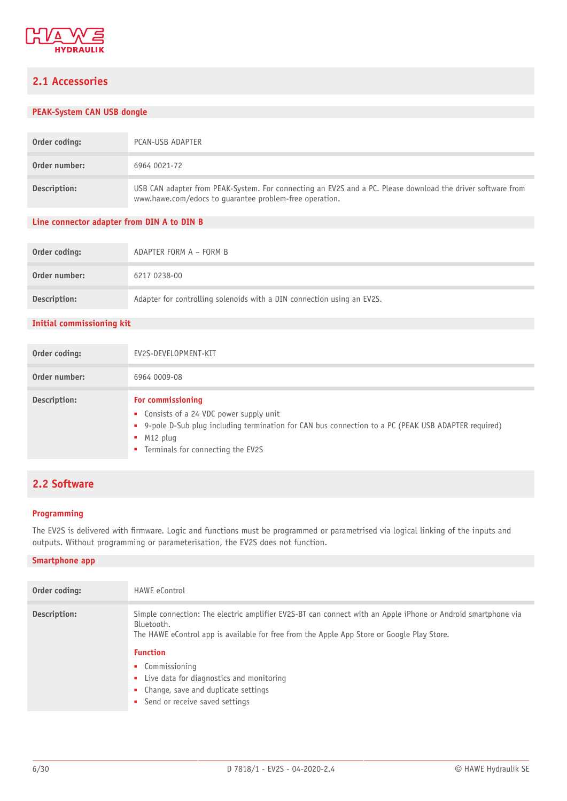

## <span id="page-5-0"></span>**2.1 Accessories**

#### **PEAK-System CAN USB dongle**

| Order coding: | PCAN-USB ADAPTER                                                                                                                                                       |
|---------------|------------------------------------------------------------------------------------------------------------------------------------------------------------------------|
| Order number: | 6964 0021-72                                                                                                                                                           |
| Description:  | USB CAN adapter from PEAK-System. For connecting an EV2S and a PC. Please download the driver software from<br>www.hawe.com/edocs to guarantee problem-free operation. |

#### **Line connector adapter from DIN A to DIN B**

| Order coding: | ADAPTER FORM A - FORM B                                                |
|---------------|------------------------------------------------------------------------|
| Order number: | 6217 0238-00                                                           |
| Description:  | Adapter for controlling solenoids with a DIN connection using an EV2S. |

#### **Initial commissioning kit**

| Order coding: | EV2S-DEVELOPMENT-KIT                                                                                                                                                                                                       |
|---------------|----------------------------------------------------------------------------------------------------------------------------------------------------------------------------------------------------------------------------|
| Order number: | 6964 0009-08                                                                                                                                                                                                               |
| Description:  | For commissioning<br>• Consists of a 24 VDC power supply unit<br>• 9-pole D-Sub plug including termination for CAN bus connection to a PC (PEAK USB ADAPTER required)<br>$M12$ plug<br>• Terminals for connecting the EV2S |

### <span id="page-5-1"></span>**2.2 Software**

#### **Programming**

The EV2S is delivered with firmware. Logic and functions must be programmed or parametrised via logical linking of the inputs and outputs. Without programming or parameterisation, the EV2S does not function.

#### **Smartphone app**

| Order coding: | <b>HAWE</b> eControl                                                                                                                                                                                                                                                                                                                                                                      |
|---------------|-------------------------------------------------------------------------------------------------------------------------------------------------------------------------------------------------------------------------------------------------------------------------------------------------------------------------------------------------------------------------------------------|
| Description:  | Simple connection: The electric amplifier EV2S-BT can connect with an Apple iPhone or Android smartphone via<br>Bluetooth.<br>The HAWE eControl app is available for free from the Apple App Store or Google Play Store.<br><b>Function</b><br>• Commissioning<br>• Live data for diagnostics and monitoring<br>• Change, save and duplicate settings<br>• Send or receive saved settings |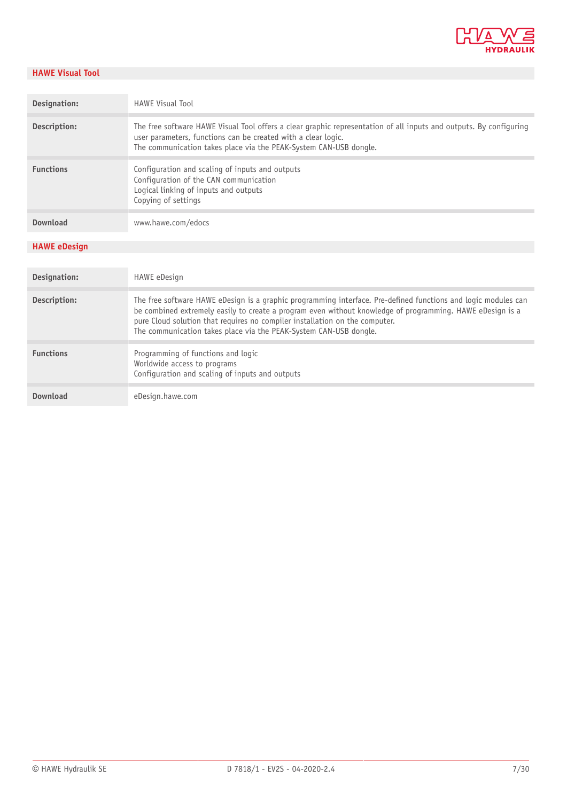

#### **HAWE Visual Tool**

| Designation:        | <b>HAWE Visual Tool</b>                                                                                                                                                                                                                                                                                    |
|---------------------|------------------------------------------------------------------------------------------------------------------------------------------------------------------------------------------------------------------------------------------------------------------------------------------------------------|
| Description:        | The free software HAWE Visual Tool offers a clear graphic representation of all inputs and outputs. By configuring<br>user parameters, functions can be created with a clear logic.<br>The communication takes place via the PEAK-System CAN-USB dongle.                                                   |
| <b>Functions</b>    | Configuration and scaling of inputs and outputs<br>Configuration of the CAN communication<br>Logical linking of inputs and outputs<br>Copying of settings                                                                                                                                                  |
| Download            | www.hawe.com/edocs                                                                                                                                                                                                                                                                                         |
| <b>HAWE eDesign</b> |                                                                                                                                                                                                                                                                                                            |
|                     |                                                                                                                                                                                                                                                                                                            |
| Designation:        | HAWE eDesign                                                                                                                                                                                                                                                                                               |
| Description:        | The free software HAWE eDesign is a graphic programming interface. Pre-defined functions and logic modules can<br>be combined extremely easily to create a program even without knowledge of programming. HAWE eDesign is a<br>pure Cloud solution that requires no compiler installation on the computer. |
|                     | The communication takes place via the PEAK-System CAN-USB dongle.                                                                                                                                                                                                                                          |
| <b>Functions</b>    | Programming of functions and logic<br>Worldwide access to programs<br>Configuration and scaling of inputs and outputs                                                                                                                                                                                      |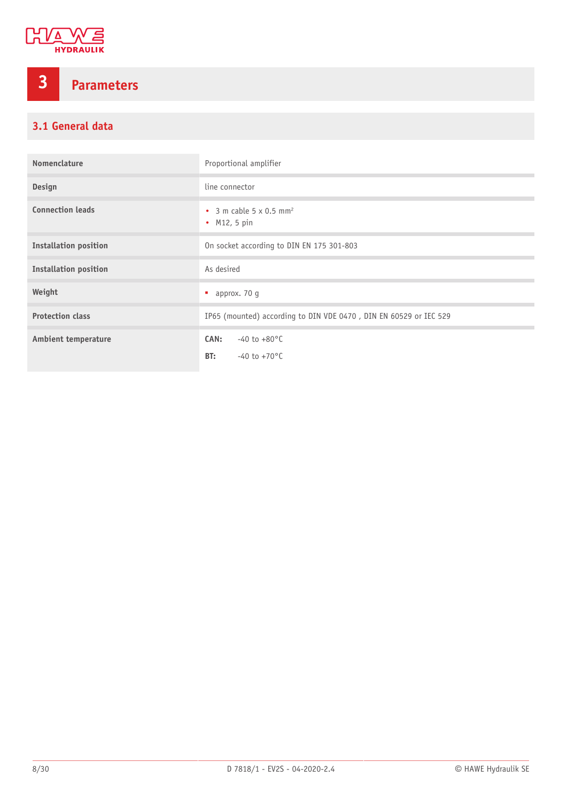

## <span id="page-7-0"></span>**3 Parameters**

## <span id="page-7-1"></span>**3.1 General data**

| Nomenclature                 | Proportional amplifier                                                |
|------------------------------|-----------------------------------------------------------------------|
| Design                       | line connector                                                        |
| <b>Connection leads</b>      | $\bullet$ 3 m cable 5 x 0.5 mm <sup>2</sup><br>• $M12, 5 \text{ pin}$ |
| <b>Installation position</b> | On socket according to DIN EN 175 301-803                             |
| <b>Installation position</b> | As desired                                                            |
| Weight                       | approx. 70 q<br>٠                                                     |
| <b>Protection class</b>      | IP65 (mounted) according to DIN VDE 0470, DIN EN 60529 or IEC 529     |
| <b>Ambient temperature</b>   | CAN:<br>$-40$ to $+80^{\circ}$ C<br>BT:<br>$-40$ to $+70$ °C          |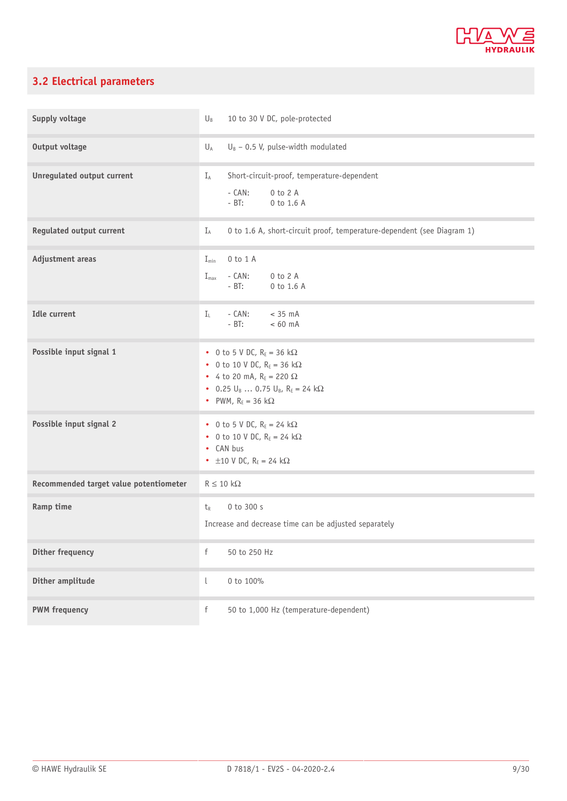

## <span id="page-8-0"></span>**3.2 Electrical parameters**

| Supply voltage                         | $U_B$<br>10 to 30 V DC, pole-protected                                                                                                                                                      |
|----------------------------------------|---------------------------------------------------------------------------------------------------------------------------------------------------------------------------------------------|
| <b>Output voltage</b>                  | $U_B$ – 0.5 V, pulse-width modulated<br>$U_A$                                                                                                                                               |
| Unregulated output current             | Short-circuit-proof, temperature-dependent<br>$I_A$<br>$-$ CAN:<br>0 to 2 A<br>$- B T$ :<br>0 to 1.6 A                                                                                      |
| <b>Regulated output current</b>        | 0 to 1.6 A, short-circuit proof, temperature-dependent (see Diagram 1)<br>$I_A$                                                                                                             |
| Adjustment areas                       | $0$ to $1$ A<br>$I_{\min}$<br>0 to 2 A<br>$I_{\text{max}}$<br>$- CAN:$<br>$-$ BT:<br>0 to 1.6 A                                                                                             |
| <b>Idle current</b>                    | - CAN:<br>$< 35$ mA<br>$I_1$<br>$- BT:$<br>$< 60$ mA                                                                                                                                        |
| Possible input signal 1                | • 0 to 5 V DC, $R_E = 36 k\Omega$<br>• 0 to 10 V DC, $R_E = 36 k\Omega$<br>• 4 to 20 mA, $R_E = 220 \Omega$<br>• 0.25 $U_B$ 0.75 $U_B$ , $R_E = 24$ k $\Omega$<br>• PWM, $R_E = 36 k\Omega$ |
| Possible input signal 2                | • 0 to 5 V DC, $R_E = 24 k\Omega$<br>• 0 to 10 V DC, $R_E = 24 k\Omega$<br>• CAN bus<br>• $\pm 10$ V DC, R <sub>E</sub> = 24 k $\Omega$                                                     |
| Recommended target value potentiometer | $R \leq 10 k\Omega$                                                                                                                                                                         |
| Ramp time                              | 0 to 300 s<br>$t_{R}$<br>Increase and decrease time can be adjusted separately                                                                                                              |
| <b>Dither frequency</b>                | $\mathsf f$<br>50 to 250 Hz                                                                                                                                                                 |
| Dither amplitude                       | $\lfloor$<br>0 to 100%                                                                                                                                                                      |
| <b>PWM</b> frequency                   | $\mathsf f$<br>50 to 1,000 Hz (temperature-dependent)                                                                                                                                       |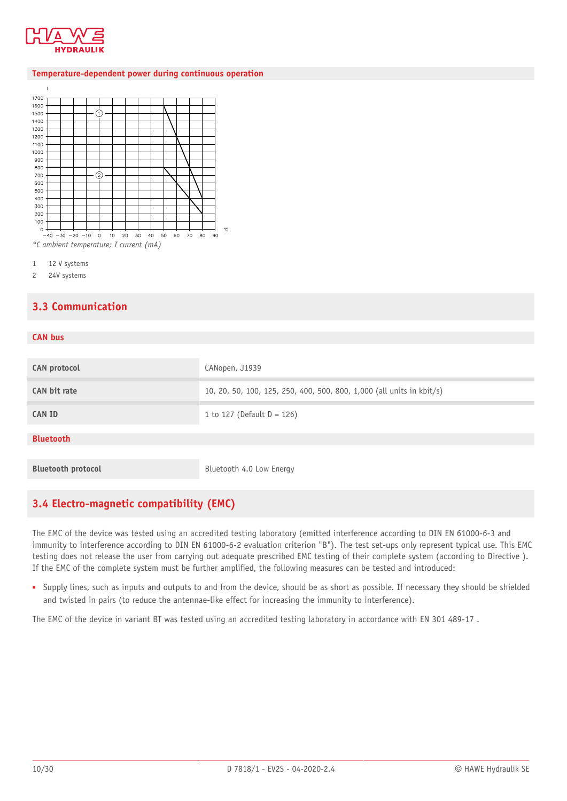

#### **Temperature-dependent power during continuous operation**



1 12 V systems

<span id="page-9-0"></span>2 24V systems

### **3.3 Communication**

| CANopen, J1939                                                        |
|-----------------------------------------------------------------------|
| 10, 20, 50, 100, 125, 250, 400, 500, 800, 1,000 (all units in kbit/s) |
| 1 to 127 (Default $D = 126$ )                                         |
|                                                                       |
|                                                                       |
|                                                                       |
| Bluetooth 4.0 Low Energy                                              |
|                                                                       |

### <span id="page-9-1"></span>**3.4 Electro-magnetic compatibility (EMC)**

The EMC of the device was tested using an accredited testing laboratory (emitted interference according to DIN EN 61000-6-3 and immunity to interference according to DIN EN 61000-6-2 evaluation criterion "B"). The test set-ups only represent typical use. This EMC testing does not release the user from carrying out adequate prescribed EMC testing of their complete system (according to Directive ). If the EMC of the complete system must be further amplified, the following measures can be tested and introduced:

■ Supply lines, such as inputs and outputs to and from the device, should be as short as possible. If necessary they should be shielded and twisted in pairs (to reduce the antennae-like effect for increasing the immunity to interference).

The EMC of the device in variant BT was tested using an accredited testing laboratory in accordance with EN 301 489-17 .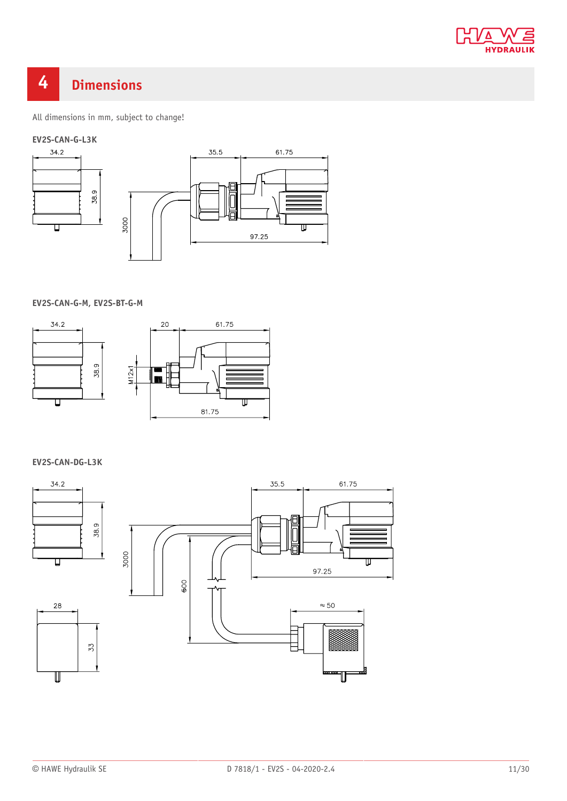

## <span id="page-10-0"></span>**4 Dimensions**

All dimensions in mm, subject to change!

### **EV2S-CAN-G-L3K**



**EV2S-CAN-G-M, EV2S-BT-G-M**



**EV2S-CAN-DG-L3K**

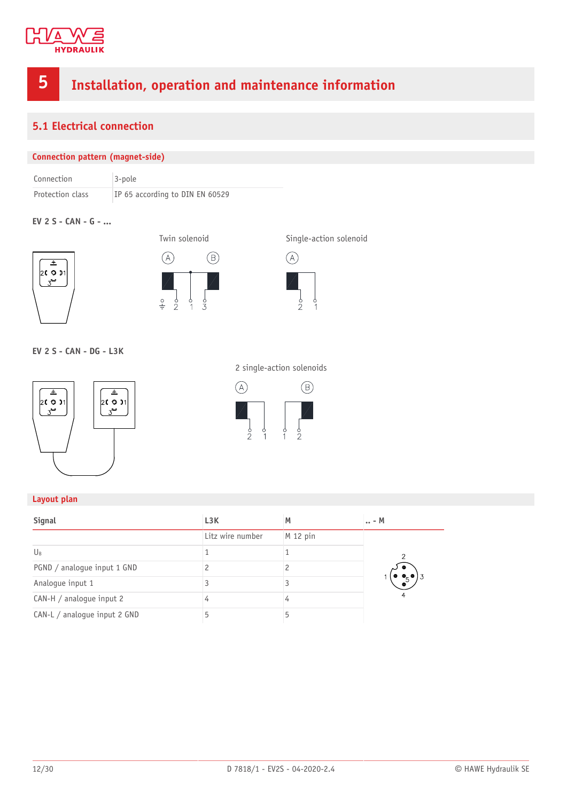

## <span id="page-11-0"></span>**5 Installation, operation and maintenance information**

## <span id="page-11-1"></span>**5.1 Electrical connection**

#### **Connection pattern (magnet-side)**

| Connection       | $3-pole$                        |
|------------------|---------------------------------|
| Protection class | IP 65 according to DIN EN 60529 |

#### **EV 2 S - CAN - G - ...**







#### **EV 2 S - CAN - DG - L3K**





2 single-action solenoids

 $\begin{matrix}\n\downarrow \\
\circ \\
\uparrow\n\end{matrix}$ 

#### **Layout plan**

| Signal                       | L <sub>3</sub> K | M        | $\ldots$ - M  |
|------------------------------|------------------|----------|---------------|
|                              | Litz wire number | M 12 pin |               |
| $U_{B}$                      |                  |          | $\mathcal{P}$ |
| PGND / analogue input 1 GND  |                  |          |               |
| Analogue input 1             |                  |          |               |
| CAN-H / analogue input 2     |                  |          | 4             |
| CAN-L / analogue input 2 GND |                  | 5        |               |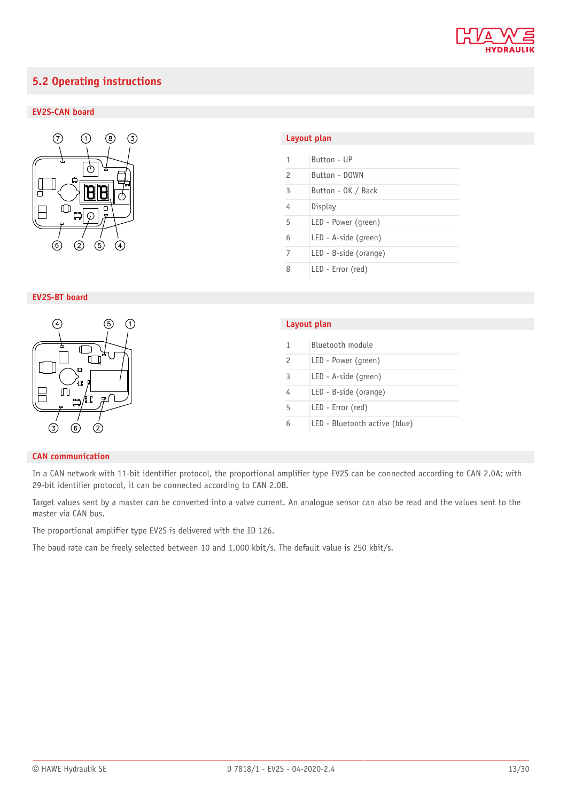

## <span id="page-12-0"></span>**5.2 Operating instructions**

#### **EV2S-CAN board**



#### **EV2S-BT board**



#### **Layout plan**

| 1              | Button - UP           |
|----------------|-----------------------|
| $\mathcal{P}$  | Button - DOWN         |
| $\overline{3}$ | Button - OK / Back    |
| 4              | Display               |
| 5              | LED - Power (green)   |
| 6              | LED - A-side (green)  |
| 7              | LED - B-side (orange) |
| 8              | LED - Error (red)     |

| Layout plan |                               |  |  |  |
|-------------|-------------------------------|--|--|--|
|             |                               |  |  |  |
| 1           | Bluetooth module              |  |  |  |
| 2           | LED - Power (green)           |  |  |  |
| 3           | LED - A-side (green)          |  |  |  |
|             | LED - B-side (orange)         |  |  |  |
| 5           | LED - Error (red)             |  |  |  |
| 6           | LED - Bluetooth active (blue) |  |  |  |

#### **CAN communication**

In a CAN network with 11-bit identifier protocol, the proportional amplifier type EV2S can be connected according to CAN 2.0A; with 29-bit identifier protocol, it can be connected according to CAN 2.0B.

Target values sent by a master can be converted into a valve current. An analogue sensor can also be read and the values sent to the master via CAN bus.

The proportional amplifier type EV2S is delivered with the ID 126.

The baud rate can be freely selected between 10 and 1,000 kbit/s. The default value is 250 kbit/s.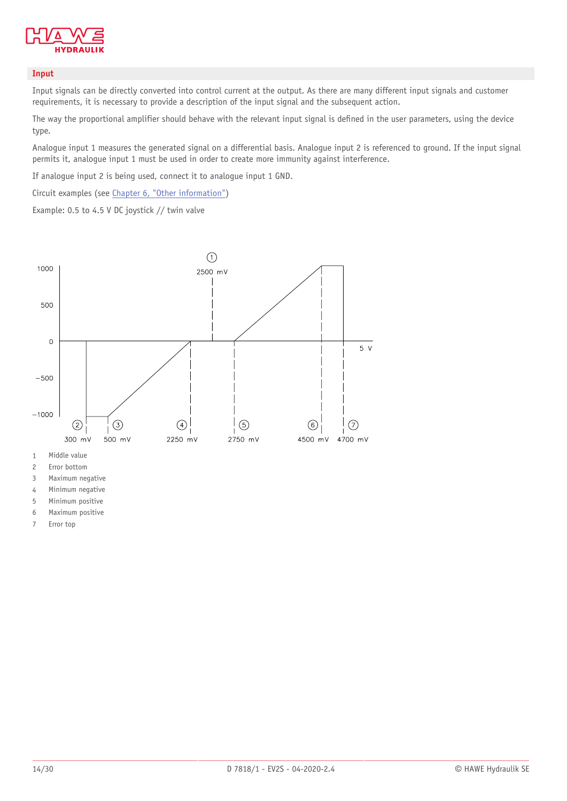

#### **Input**

Input signals can be directly converted into control current at the output. As there are many different input signals and customer requirements, it is necessary to provide a description of the input signal and the subsequent action.

The way the proportional amplifier should behave with the relevant input signal is defined in the user parameters, using the device type.

Analogue input 1 measures the generated signal on a differential basis. Analogue input 2 is referenced to ground. If the input signal permits it, analogue input 1 must be used in order to create more immunity against interference.

If analogue input 2 is being used, connect it to analogue input 1 GND.

Circuit examples (see Chapter 6, "Other [information"\)](#page-27-0)

Example: 0.5 to 4.5 V DC joystick // twin valve



2 Error bottom

3 Maximum negative

4 Minimum negative

5 Minimum positive

6 Maximum positive

7 Error top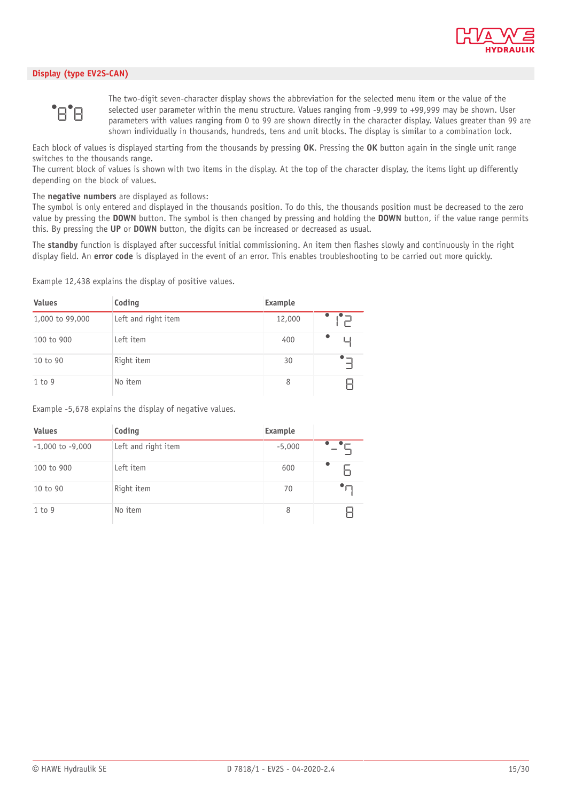

#### **Display (type EV2S-CAN)**



The two-digit seven-character display shows the abbreviation for the selected menu item or the value of the selected user parameter within the menu structure. Values ranging from -9,999 to +99,999 may be shown. User parameters with values ranging from 0 to 99 are shown directly in the character display. Values greater than 99 are shown individually in thousands, hundreds, tens and unit blocks. The display is similar to a combination lock.

Each block of values is displayed starting from the thousands by pressing **OK**. Pressing the **OK** button again in the single unit range switches to the thousands range.

The current block of values is shown with two items in the display. At the top of the character display, the items light up differently depending on the block of values.

The **negative numbers** are displayed as follows:

The symbol is only entered and displayed in the thousands position. To do this, the thousands position must be decreased to the zero value by pressing the **DOWN** button. The symbol is then changed by pressing and holding the **DOWN** button, if the value range permits this. By pressing the **UP** or **DOWN** button, the digits can be increased or decreased as usual.

The standby function is displayed after successful initial commissioning. An item then flashes slowly and continuously in the right display field. An **error code** is displayed in the event of an error. This enables troubleshooting to be carried out more quickly.

Example 12,438 explains the display of positive values.

| <b>Values</b>   | Coding              | Example |  |
|-----------------|---------------------|---------|--|
| 1,000 to 99,000 | Left and right item | 12,000  |  |
| 100 to 900      | Left item           | 400     |  |
| 10 to 90        | Right item          | 30      |  |
| 1 to 9          | No item             | 8       |  |

Example -5,678 explains the display of negative values.

| <b>Values</b>        | Coding              | Example  |  |
|----------------------|---------------------|----------|--|
| $-1,000$ to $-9,000$ | Left and right item | $-5,000$ |  |
| 100 to 900           | Left item           | 600      |  |
| 10 to 90             | Right item          | 70       |  |
| 1 to 9               | No item             | 8        |  |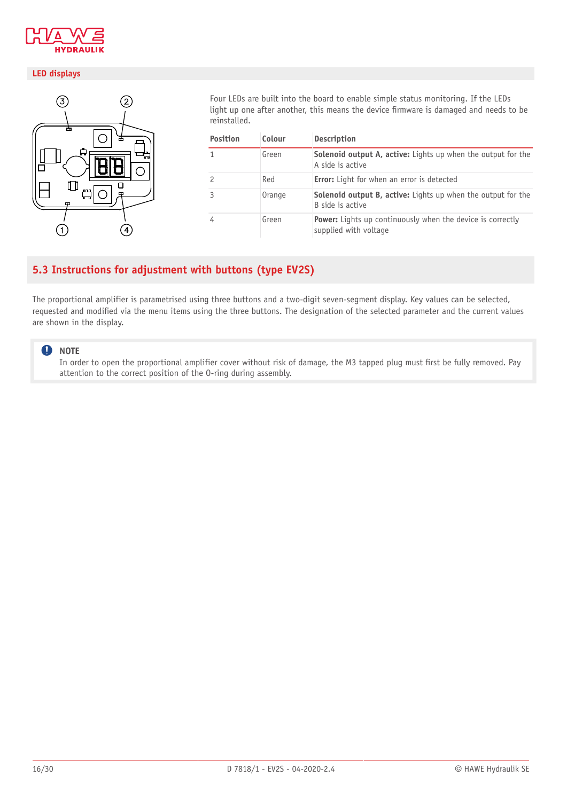

#### **LED displays**



Four LEDs are built into the board to enable simple status monitoring. If the LEDs light up one after another, this means the device firmware is damaged and needs to be reinstalled.

| <b>Position</b> | Colour | <b>Description</b>                                                                         |
|-----------------|--------|--------------------------------------------------------------------------------------------|
| 1               | Green  | <b>Solenoid output A, active:</b> Lights up when the output for the<br>A side is active    |
| 2               | Red    | <b>Error:</b> Light for when an error is detected                                          |
| 3               | Orange | Solenoid output B, active: Lights up when the output for the<br>B side is active           |
| 4               | Green  | <b>Power:</b> Lights up continuously when the device is correctly<br>supplied with voltage |

## <span id="page-15-0"></span>**5.3 Instructions for adjustment with buttons (type EV2S)**

The proportional amplifier is parametrised using three buttons and a two-digit seven-segment display. Key values can be selected, requested and modified via the menu items using the three buttons. The designation of the selected parameter and the current values are shown in the display.

#### **A** NOTE

In order to open the proportional amplifier cover without risk of damage, the M3 tapped plug must first be fully removed. Pay attention to the correct position of the O-ring during assembly.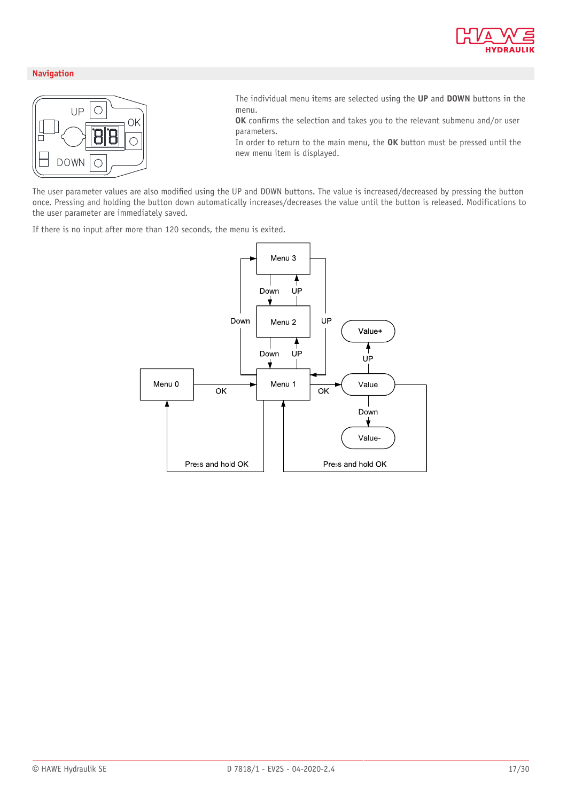

#### **Navigation**



- The individual menu items are selected using the **UP** and **DOWN** buttons in the menu.
- **OK** confirms the selection and takes you to the relevant submenu and/or user parameters.
- In order to return to the main menu, the **OK** button must be pressed until the new menu item is displayed.

The user parameter values are also modified using the UP and DOWN buttons. The value is increased/decreased by pressing the button once. Pressing and holding the button down automatically increases/decreases the value until the button is released. Modifications to the user parameter are immediately saved.

If there is no input after more than 120 seconds, the menu is exited.

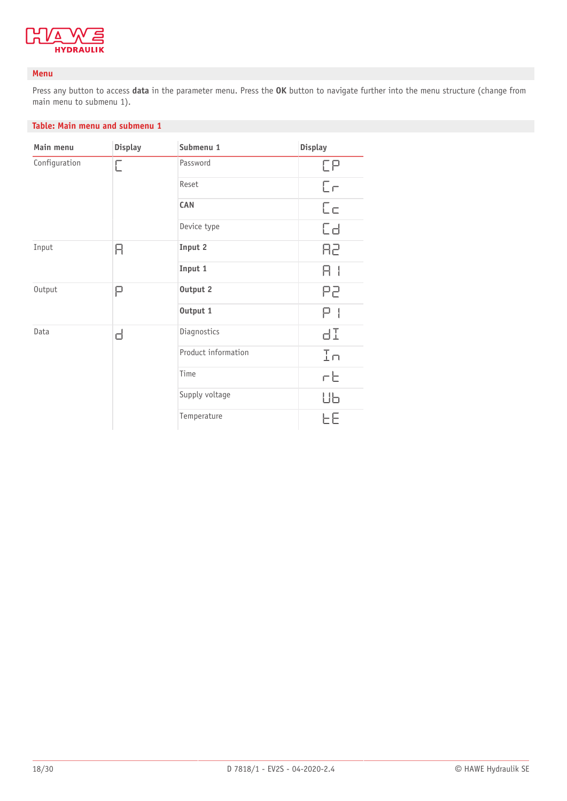

#### **Menu**

Press any button to access **data** in the parameter menu. Press the **OK** button to navigate further into the menu structure (change from main menu to submenu 1).

#### **Table: Main menu and submenu 1**

| Main menu     | <b>Display</b> | Submenu 1           | <b>Display</b> |
|---------------|----------------|---------------------|----------------|
| Configuration | Е              | Password            | EР             |
|               |                | Reset               | $E_{\Gamma}$   |
|               |                | <b>CAN</b>          | $E_{\square}$  |
|               |                | Device type         | Сđ             |
| Input         | Я              | Input 2             | 85             |
|               |                | Input 1             | H              |
| Output        | Ρ              | Output 2            | P2             |
|               |                | Output 1            | Ρ              |
| Data          | ᆸ              | Diagnostics         | ЧI             |
|               |                | Product information | In             |
|               |                | Time                | гE             |
|               |                | Supply voltage      | ΠР             |
|               |                | Temperature         | ЕE             |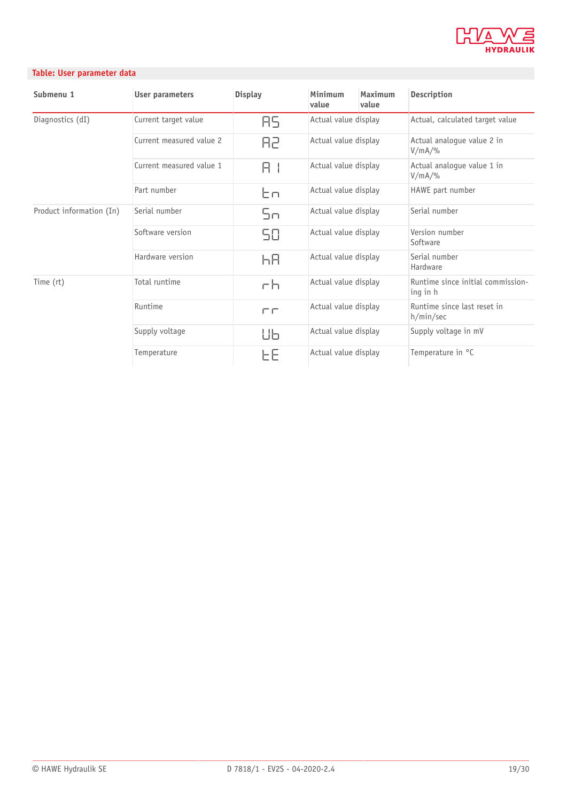

#### **Table: User parameter data**

| Submenu 1                | User parameters          | <b>Display</b> | Minimum<br>value     | Maximum<br>value | Description                                   |
|--------------------------|--------------------------|----------------|----------------------|------------------|-----------------------------------------------|
| Diagnostics (dI)         | Current target value     | 85.            | Actual value display |                  | Actual, calculated target value               |
|                          | Current measured value 2 | R2             | Actual value display |                  | Actual analogue value 2 in<br>$V/mA/$ %       |
|                          | Current measured value 1 | ЯI             | Actual value display |                  | Actual analogue value 1 in<br>$V/mA/\%$       |
|                          | Part number              | Էո             | Actual value display |                  | HAWE part number                              |
| Product information (In) | Serial number            | Sn             | Actual value display |                  | Serial number                                 |
|                          | Software version         | 58             | Actual value display |                  | Version number<br>Software                    |
|                          | Hardware version         | hЯ             | Actual value display |                  | Serial number<br>Hardware                     |
| Time (rt)                | Total runtime            | гh             | Actual value display |                  | Runtime since initial commission-<br>ing in h |
|                          | Runtime                  | FП             | Actual value display |                  | Runtime since last reset in<br>h/min/sec      |
|                          | Supply voltage           | Шь             | Actual value display |                  | Supply voltage in mV                          |
|                          | Temperature              | ЕE             | Actual value display |                  | Temperature in °C                             |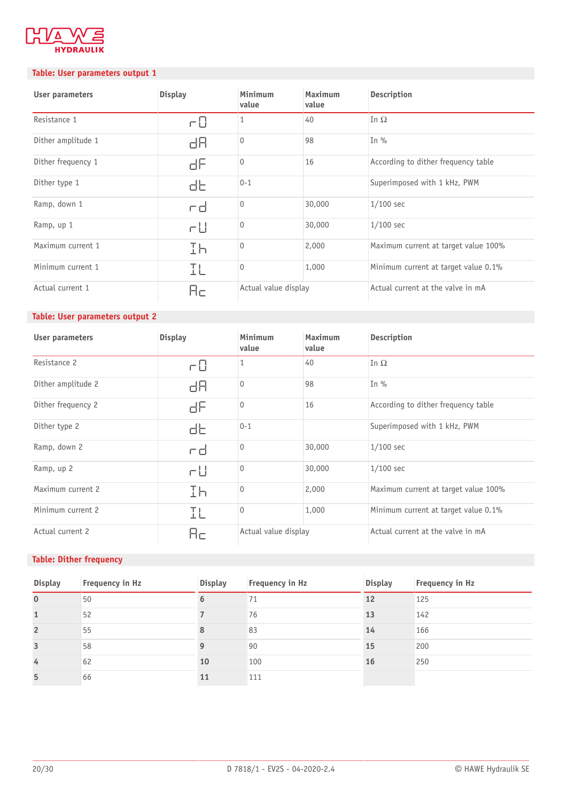

#### **Table: User parameters output 1**

| User parameters    | <b>Display</b> | Minimum<br>value     | <b>Maximum</b><br>value | Description                          |
|--------------------|----------------|----------------------|-------------------------|--------------------------------------|
| Resistance 1       | r0             | 1                    | 40                      | In $\Omega$                          |
| Dither amplitude 1 | dЯ             | $\mathbf{0}$         | 98                      | In $\%$                              |
| Dither frequency 1 | ЫF             | $\overline{0}$       | 16                      | According to dither frequency table  |
| Dither type 1      | db             | $0 - 1$              |                         | Superimposed with 1 kHz, PWM         |
| Ramp, down 1       | rd             | $\Omega$             | 30,000                  | $1/100$ sec                          |
| Ramp, up 1         | гU             | $\Omega$             | 30,000                  | $1/100$ sec                          |
| Maximum current 1  | Ih             | $\mathbf{0}$         | 2,000                   | Maximum current at target value 100% |
| Minimum current 1  | IL             | $\Omega$             | 1,000                   | Minimum current at target value 0.1% |
| Actual current 1   | Яc             | Actual value display |                         | Actual current at the valve in mA    |

#### **Table: User parameters output 2**

| User parameters    | <b>Display</b> | Minimum<br>value     | Maximum<br>value | Description                          |
|--------------------|----------------|----------------------|------------------|--------------------------------------|
| Resistance 2       | гO             | 1                    | 40               | In $\Omega$                          |
| Dither amplitude 2 | dЯ             | $\mathbf{0}$         | 98               | In $\%$                              |
| Dither frequency 2 | dF             | $\overline{0}$       | 16               | According to dither frequency table  |
| Dither type 2      | db             | $0 - 1$              |                  | Superimposed with 1 kHz, PWM         |
| Ramp, down 2       | rd             | $\mathbf{0}$         | 30,000           | $1/100$ sec                          |
| Ramp, up 2         | r∐             | $\Omega$             | 30,000           | $1/100$ sec                          |
| Maximum current 2  | Ih             | $\Omega$             | 2,000            | Maximum current at target value 100% |
| Minimum current 2  | IL             | $\mathbf{0}$         | 1,000            | Minimum current at target value 0.1% |
| Actual current 2   | Hс             | Actual value display |                  | Actual current at the valve in mA    |

#### **Table: Dither frequency**

| <b>Display</b> | Frequency in Hz | <b>Display</b> | Frequency in Hz | <b>Display</b> | Frequency in Hz |
|----------------|-----------------|----------------|-----------------|----------------|-----------------|
| $\overline{0}$ | 50              | b              | 71              | 12             | 125             |
| $\mathbf{1}$   | 52              |                | 76              | 13             | 142             |
| $\overline{2}$ | 55              |                | 83              | 14             | 166             |
| $\overline{3}$ | 58              |                | 90              | 15             | 200             |
| 4              | 62              | 10             | 100             | 16             | 250             |
| 5              | 66              | 11             | 111             |                |                 |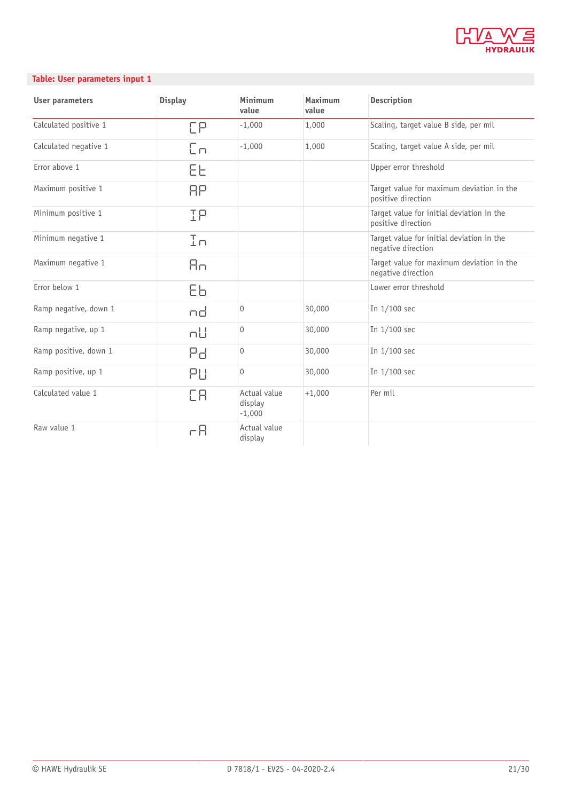

#### **Table: User parameters input 1**

| <b>User parameters</b> | <b>Display</b> | Minimum<br>value                    | Maximum<br>value | <b>Description</b>                                              |
|------------------------|----------------|-------------------------------------|------------------|-----------------------------------------------------------------|
| Calculated positive 1  | FР             | $-1,000$                            | 1,000            | Scaling, target value B side, per mil                           |
| Calculated negative 1  | Eп             | $-1,000$                            | 1,000            | Scaling, target value A side, per mil                           |
| Error above 1          | EE.            |                                     |                  | Upper error threshold                                           |
| Maximum positive 1     | ЯP             |                                     |                  | Target value for maximum deviation in the<br>positive direction |
| Minimum positive 1     | IΡ             |                                     |                  | Target value for initial deviation in the<br>positive direction |
| Minimum negative 1     | In             |                                     |                  | Target value for initial deviation in the<br>negative direction |
| Maximum negative 1     | Яni            |                                     |                  | Target value for maximum deviation in the<br>negative direction |
| Error below 1          | ΕЬ             |                                     |                  | Lower error threshold                                           |
| Ramp negative, down 1  | nd             | $\mathsf{O}\xspace$                 | 30,000           | In 1/100 sec                                                    |
| Ramp negative, up 1    | пU             | $\mathbf{0}$                        | 30,000           | In 1/100 sec                                                    |
| Ramp positive, down 1  | Pdi            | $\mathsf{O}\xspace$                 | 30,000           | In 1/100 sec                                                    |
| Ramp positive, up 1    | PU             | 0                                   | 30,000           | In 1/100 sec                                                    |
| Calculated value 1     | EЯ             | Actual value<br>display<br>$-1,000$ | $+1,000$         | Per mil                                                         |
| Raw value 1            | гĦ             | Actual value<br>display             |                  |                                                                 |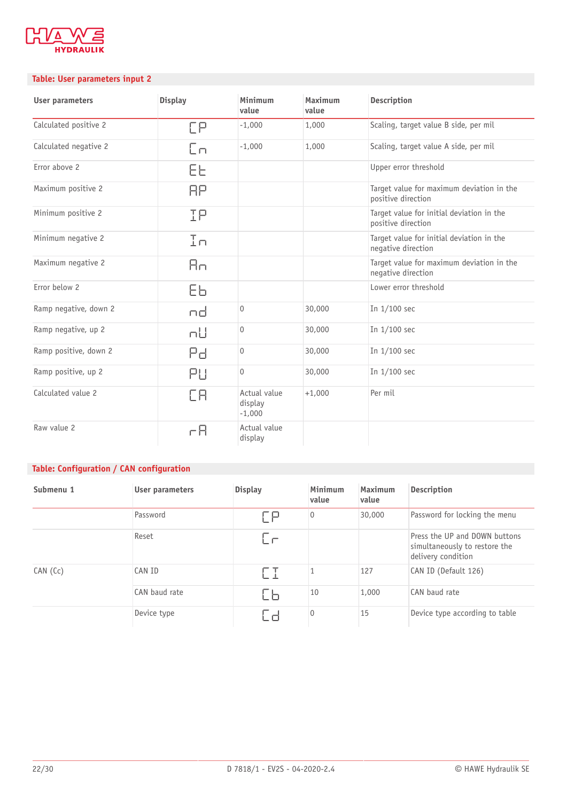

#### **Table: User parameters input 2**

| User parameters       | <b>Display</b> | Minimum<br>value                    | Maximum<br>value | Description                                                     |
|-----------------------|----------------|-------------------------------------|------------------|-----------------------------------------------------------------|
| Calculated positive 2 | ЕΡ             | $-1,000$                            | 1,000            | Scaling, target value B side, per mil                           |
| Calculated negative 2 | Eп             | $-1,000$                            | 1,000            | Scaling, target value A side, per mil                           |
| Error above 2         | ЕE             |                                     |                  | Upper error threshold                                           |
| Maximum positive 2    | RР             |                                     |                  | Target value for maximum deviation in the<br>positive direction |
| Minimum positive 2    | IΡ             |                                     |                  | Target value for initial deviation in the<br>positive direction |
| Minimum negative 2    | In             |                                     |                  | Target value for initial deviation in the<br>negative direction |
| Maximum negative 2    | Яn             |                                     |                  | Target value for maximum deviation in the<br>negative direction |
| Error below 2         | ΕЬ             |                                     |                  | Lower error threshold                                           |
| Ramp negative, down 2 | nd             | $\mathsf{O}\xspace$                 | 30,000           | In 1/100 sec                                                    |
| Ramp negative, up 2   | пU             | $\mathbf{0}$                        | 30,000           | In 1/100 sec                                                    |
| Ramp positive, down 2 | Pd.            | $\mathsf{O}\xspace$                 | 30,000           | In 1/100 sec                                                    |
| Ramp positive, up 2   | PЦ             | $\mathbf{0}$                        | 30,000           | In 1/100 sec                                                    |
| Calculated value 2    | EЯ             | Actual value<br>display<br>$-1,000$ | $+1,000$         | Per mil                                                         |
| Raw value 2           | cЯ             | Actual value<br>display             |                  |                                                                 |

### **Table: Configuration / CAN configuration**

| Submenu 1 | User parameters | <b>Display</b> | Minimum<br>value | Maximum<br>value | Description                                                                          |
|-----------|-----------------|----------------|------------------|------------------|--------------------------------------------------------------------------------------|
|           | Password        | FР             | $\overline{0}$   | 30,000           | Password for locking the menu                                                        |
|           | Reset           | $\Box$         |                  |                  | Press the UP and DOWN buttons<br>simultaneously to restore the<br>delivery condition |
| CAN (Cc)  | CAN ID          | FТ             |                  | 127              | CAN ID (Default 126)                                                                 |
|           | CAN baud rate   | IЬ             | 10               | 1,000            | CAN baud rate                                                                        |
|           | Device type     | .d             | $\overline{0}$   | 15               | Device type according to table                                                       |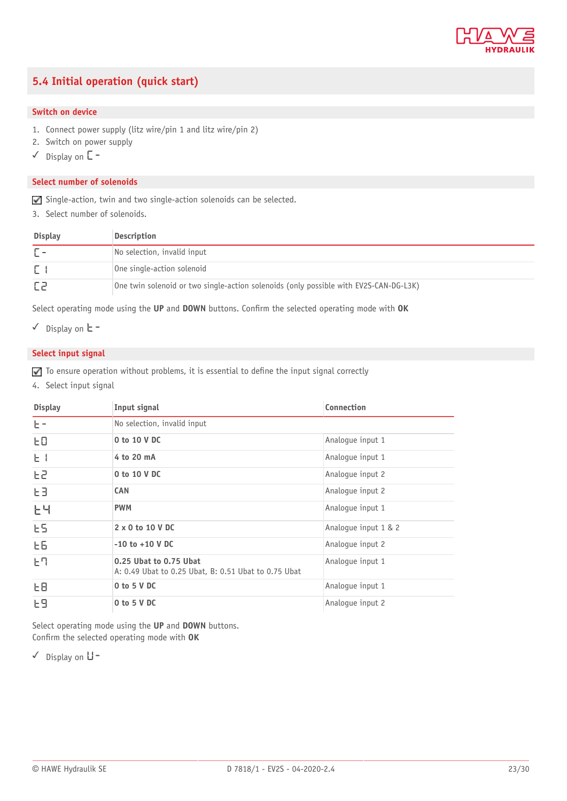

## <span id="page-22-0"></span>**5.4 Initial operation (quick start)**

#### **Switch on device**

- 1. Connect power supply (litz wire/pin 1 and litz wire/pin 2)
- 2. Switch on power supply
- ✓ Display on **C-**

#### **Select number of solenoids**

Single-action, twin and two single-action solenoids can be selected.

3. Select number of solenoids.

| <b>Display</b> | Description                                                                           |
|----------------|---------------------------------------------------------------------------------------|
|                | No selection, invalid input                                                           |
|                | One single-action solenoid                                                            |
|                | One twin solenoid or two single-action solenoids (only possible with EV2S-CAN-DG-L3K) |

Select operating mode using the UP and DOWN buttons. Confirm the selected operating mode with OK

✓ Display on **T-**

#### **Select input signal**

 $\Box$  To ensure operation without problems, it is essential to define the input signal correctly

4. Select input signal

| <b>Display</b> | Input signal                                                                   | Connection           |
|----------------|--------------------------------------------------------------------------------|----------------------|
| $E =$          | No selection, invalid input                                                    |                      |
| ЕO             | 0 to 10 V DC                                                                   | Analogue input 1     |
| $E +$          | 4 to 20 mA                                                                     | Analogue input 1     |
| F5             | 0 to 10 V DC                                                                   | Analoque input 2     |
| EЗ             | <b>CAN</b>                                                                     | Analoque input 2     |
| 논닉             | <b>PWM</b>                                                                     | Analoque input 1     |
| E5             | $2 \times 0$ to 10 V DC                                                        | Analoque input 1 & 2 |
| EБ             | $-10$ to $+10$ V DC                                                            | Analoque input 2     |
| 난다             | 0.25 Ubat to 0.75 Ubat<br>A: 0.49 Ubat to 0.25 Ubat, B: 0.51 Ubat to 0.75 Ubat | Analoque input 1     |
| FB             | $0$ to $5$ V DC                                                                | Analogue input 1     |
| E9             | 0 to 5 V DC                                                                    | Analoque input 2     |

Select operating mode using the **UP** and **DOWN** buttons. Confirm the selected operating mode with OK

✓ Display on **V-**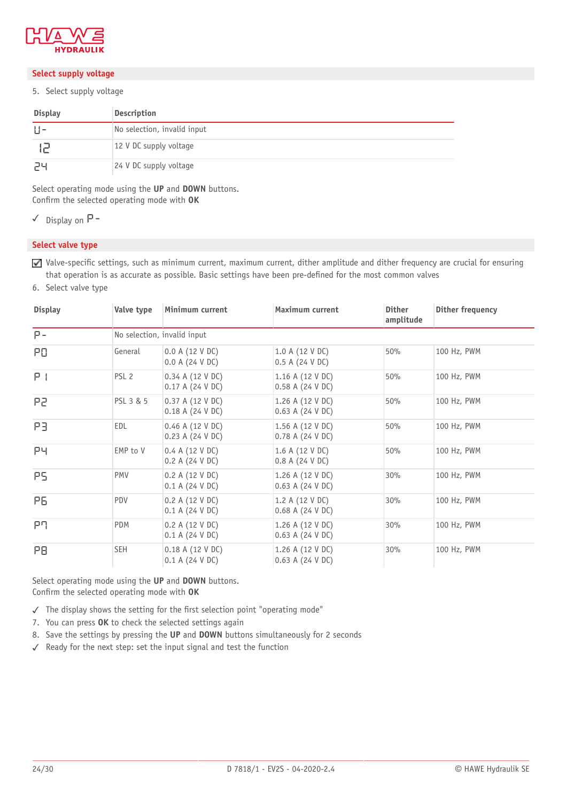

#### **Select supply voltage**

5. Select supply voltage

| <b>Display</b> | Description                 |
|----------------|-----------------------------|
| $  $ -         | No selection, invalid input |
|                | 12 V DC supply voltage      |
| ىر⊂            | $24$ V DC supply voltage    |

Select operating mode using the **UP** and **DOWN** buttons. Confirm the selected operating mode with OK

✓ Display on **P-**

#### **Select valve type**

Valve-specific settings, such as minimum current, maximum current, dither amplitude and dither frequency are crucial for ensuring that operation is as accurate as possible. Basic settings have been pre-defined for the most common valves

6. Select valve type

| <b>Display</b> | Valve type                  | Minimum current                        | Maximum current                       | <b>Dither</b><br>amplitude | Dither frequency |
|----------------|-----------------------------|----------------------------------------|---------------------------------------|----------------------------|------------------|
| $P -$          | No selection, invalid input |                                        |                                       |                            |                  |
| PO.            | General                     | 0.0 A (12 V DC)<br>0.0 A (24 V DC)     | 1.0 A (12 V DC)<br>0.5 A (24 V DC)    | 50%                        | 100 Hz, PWM      |
| P <sub>1</sub> | PSL <sub>2</sub>            | 0.34 A (12 V DC)<br>0.17 A (24 V DC)   | 1.16 A (12 V DC)<br>0.58 A (24 V DC)  | 50%                        | 100 Hz, PWM      |
| P2             | PSL 3 & 5                   | 0.37 A (12 V DC)<br>0.18 A (24 V DC)   | 1.26 A (12 V DC)<br>0.63 A (24 V DC)  | 50%                        | 100 Hz, PWM      |
| PB.            | EDL                         | $0.46$ A (12 V DC)<br>0.23 A (24 V DC) | 1.56 A (12 V DC)<br>0.78 A (24 V DC)  | 50%                        | 100 Hz, PWM      |
| PЧ             | EMP to V                    | 0.4 A (12 V DC)<br>0.2 A (24 V DC)     | 1.6 A (12 V DC)<br>0.8 A (24 V DC)    | 50%                        | 100 Hz, PWM      |
| PS.            | <b>PMV</b>                  | 0.2 A (12 V DC)<br>0.1 A (24 V DC)     | 1.26 A (12 V DC)<br>0.63 A (24 V DC)  | 30%                        | 100 Hz, PWM      |
| P6.            | PDV                         | 0.2 A (12 V DC)<br>0.1 A (24 V DC)     | 1.2 A (12 V DC)<br>$0.68$ A (24 V DC) | 30%                        | 100 Hz, PWM      |
| ቦባ             | PDM                         | 0.2 A (12 V DC)<br>0.1 A (24 V DC)     | 1.26 A (12 V DC)<br>0.63 A (24 V DC)  | 30%                        | 100 Hz, PWM      |
| PB.            | <b>SEH</b>                  | 0.18 A (12 V DC)<br>0.1 A (24 V DC)    | 1.26 A (12 V DC)<br>0.63 A (24 V DC)  | 30%                        | 100 Hz, PWM      |

Select operating mode using the **UP** and **DOWN** buttons. Confirm the selected operating mode with OK

 $\checkmark$  The display shows the setting for the first selection point "operating mode"

- 7. You can press **OK** to check the selected settings again
- 8. Save the settings by pressing the **UP** and **DOWN** buttons simultaneously for 2 seconds
- ✓ Ready for the next step: set the input signal and test the function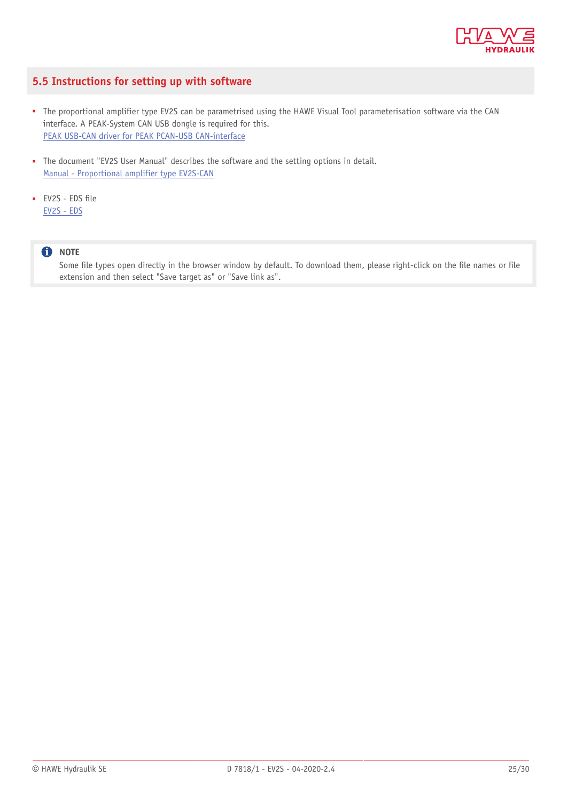

### <span id="page-24-0"></span>**5.5 Instructions for setting up with software**

- The proportional amplifier type EV2S can be parametrised using the HAWE Visual Tool parameterisation software via the CAN interface. A PEAK-System CAN USB dongle is required for this. PEAK USB-CAN driver for PEAK PCAN-USB [CAN-interface](http://downloads.hawe.com/E/HAWE-Peak-USB-CAN-Driver.zip)
- The document "EV2S User Manual" describes the software and the setting options in detail. Manual - [Proportional](http://downloads.hawe.com/7/8/B7818_EV2S-CAN-Manual-en.pdf) amplifier type EV2S-CAN
- EV2S EDS file [EV2S - EDS](http://downloads.hawe.com/E/ev2s.eds)

#### **O** NOTE

Some file types open directly in the browser window by default. To download them, please right-click on the file names or file extension and then select "Save target as" or "Save link as".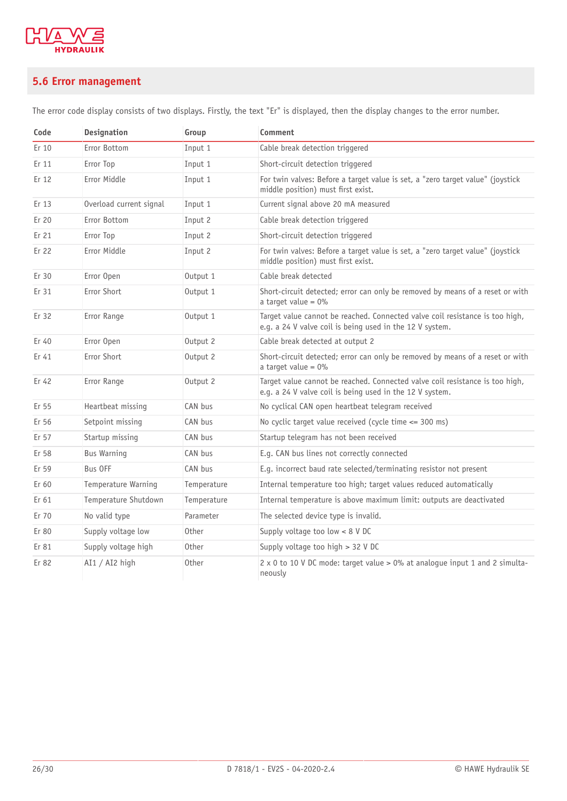

## <span id="page-25-0"></span>**5.6 Error management**

The error code display consists of two displays. Firstly, the text "Er" is displayed, then the display changes to the error number.

| Code  | <b>Designation</b>      | Group        | Comment                                                                                                                                  |
|-------|-------------------------|--------------|------------------------------------------------------------------------------------------------------------------------------------------|
| Er 10 | Error Bottom            | Input 1      | Cable break detection triggered                                                                                                          |
| Er 11 | Error Top               | Input 1      | Short-circuit detection triggered                                                                                                        |
| Er 12 | Error Middle            | Input 1      | For twin valves: Before a target value is set, a "zero target value" (joystick<br>middle position) must first exist.                     |
| Er 13 | Overload current signal | Input 1      | Current signal above 20 mA measured                                                                                                      |
| Er 20 | Error Bottom            | Input 2      | Cable break detection triggered                                                                                                          |
| Er 21 | Error Top               | Input 2      | Short-circuit detection triggered                                                                                                        |
| Er 22 | Error Middle            | Input 2      | For twin valves: Before a target value is set, a "zero target value" (joystick<br>middle position) must first exist.                     |
| Er 30 | Error Open              | Output 1     | Cable break detected                                                                                                                     |
| Er 31 | Error Short             | Output 1     | Short-circuit detected; error can only be removed by means of a reset or with<br>a target value = $0\%$                                  |
| Er 32 | Error Range             | Output 1     | Target value cannot be reached. Connected valve coil resistance is too high,<br>e.g. a 24 V valve coil is being used in the 12 V system. |
| Er 40 | Error Open              | Output 2     | Cable break detected at output 2                                                                                                         |
| Er 41 | Error Short             | Output 2     | Short-circuit detected; error can only be removed by means of a reset or with<br>a target value = $0\%$                                  |
| Er 42 | Error Range             | Output 2     | Target value cannot be reached. Connected valve coil resistance is too high,<br>e.g. a 24 V valve coil is being used in the 12 V system. |
| Er 55 | Heartbeat missing       | CAN bus      | No cyclical CAN open heartbeat telegram received                                                                                         |
| Er 56 | Setpoint missing        | CAN bus      | No cyclic target value received (cycle time $\leq$ 300 ms)                                                                               |
| Er 57 | Startup missing         | CAN bus      | Startup telegram has not been received                                                                                                   |
| Er 58 | <b>Bus Warning</b>      | CAN bus      | E.g. CAN bus lines not correctly connected                                                                                               |
| Er 59 | Bus OFF                 | CAN bus      | E.g. incorrect baud rate selected/terminating resistor not present                                                                       |
| Er 60 | Temperature Warning     | Temperature  | Internal temperature too high; target values reduced automatically                                                                       |
| Er 61 | Temperature Shutdown    | Temperature  | Internal temperature is above maximum limit: outputs are deactivated                                                                     |
| Er 70 | No valid type           | Parameter    | The selected device type is invalid.                                                                                                     |
| Er 80 | Supply voltage low      | <b>Other</b> | Supply voltage too low $< 8$ V DC                                                                                                        |
| Er 81 | Supply voltage high     | Other        | Supply voltage too high $> 32$ V DC                                                                                                      |
| Er 82 | AI1 / AI2 high          | Other        | 2 x 0 to 10 V DC mode: target value > 0% at analogue input 1 and 2 simulta-<br>neously                                                   |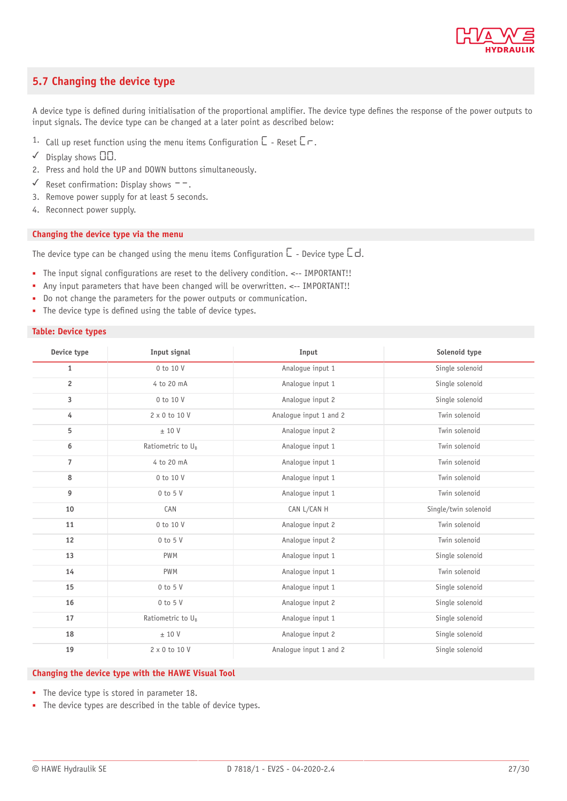

### <span id="page-26-0"></span>**5.7 Changing the device type**

A device type is defined during initialisation of the proportional amplifier. The device type defines the response of the power outputs to input signals. The device type can be changed at a later point as described below:

- 1. Call up reset function using the menu items Configuration  $\Box$  Reset  $\Box \neg$ .
- $\checkmark$  Display shows  $\Box\Box$ .
- 2. Press and hold the UP and DOWN buttons simultaneously.
- ✓ Reset confirmation: Display shows --.
- 3. Remove power supply for at least 5 seconds.
- 4. Reconnect power supply.

#### **Changing the device type via the menu**

The device type can be changed using the menu items Configuration  $\Box$  - Device type  $\Box$  d.

- The input signal configurations are reset to the delivery condition. <-- IMPORTANT!!
- Any input parameters that have been changed will be overwritten. <-- IMPORTANT!!
- Do not change the parameters for the power outputs or communication.
- The device type is defined using the table of device types.

#### **Table: Device types**

| Device type    | Input signal                  | Input                  | Solenoid type        |
|----------------|-------------------------------|------------------------|----------------------|
| $\mathbf{1}$   | 0 to 10 V                     | Analogue input 1       | Single solenoid      |
| $\overline{2}$ | 4 to 20 mA                    | Analoque input 1       | Single solenoid      |
| 3              | 0 to 10 V                     | Analoque input 2       | Single solenoid      |
| 4              | 2 x 0 to 10 V                 | Analogue input 1 and 2 | Twin solenoid        |
| 5              | ± 10 V                        | Analoque input 2       | Twin solenoid        |
| 6              | Ratiometric to U <sub>B</sub> | Analoque input 1       | Twin solenoid        |
| $\overline{7}$ | 4 to 20 mA                    | Analogue input 1       | Twin solenoid        |
| 8              | 0 to 10 V                     | Analoque input 1       | Twin solenoid        |
| 9              | $0$ to $5$ V                  | Analogue input 1       | Twin solenoid        |
| 10             | CAN                           | CAN L/CAN H            | Single/twin solenoid |
| 11             | 0 to 10 V                     | Analogue input 2       | Twin solenoid        |
| 12             | $0$ to $5$ V                  | Analogue input 2       | Twin solenoid        |
| 13             | <b>PWM</b>                    | Analoque input 1       | Single solenoid      |
| 14             | <b>PWM</b>                    | Analoque input 1       | Twin solenoid        |
| 15             | $0$ to $5$ V                  | Analoque input 1       | Single solenoid      |
| 16             | $0$ to $5$ V                  | Analoque input 2       | Single solenoid      |
| 17             | Ratiometric to U <sub>B</sub> | Analogue input 1       | Single solenoid      |
| 18             | ± 10 V                        | Analogue input 2       | Single solenoid      |
| 19             | 2 x 0 to 10 V                 | Analogue input 1 and 2 | Single solenoid      |

#### **Changing the device type with the HAWE Visual Tool**

- The device type is stored in parameter 18.
- The device types are described in the table of device types.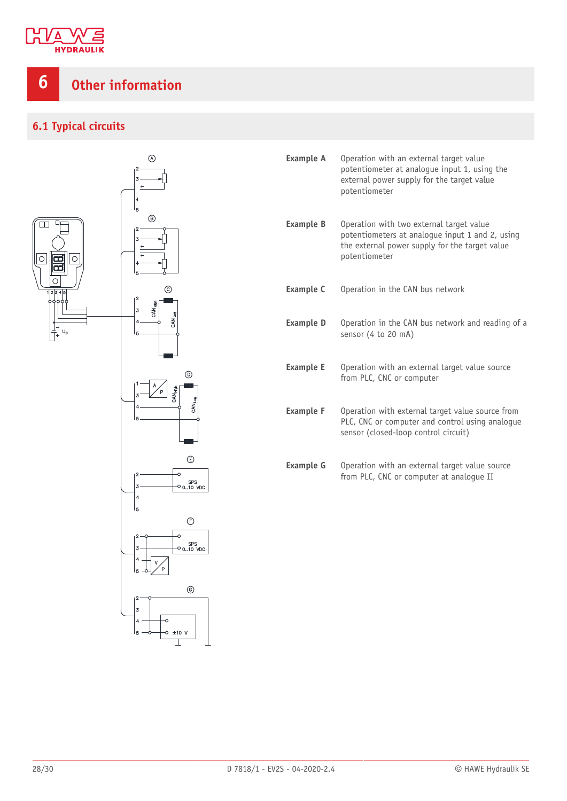

## <span id="page-27-0"></span>**6 Other information**

## <span id="page-27-1"></span>**6.1 Typical circuits**



| <b>Example A</b> | Operation with an external target value<br>potentiometer at analoque input 1, using the<br>external power supply for the target value<br>potentiometer         |
|------------------|----------------------------------------------------------------------------------------------------------------------------------------------------------------|
| <b>Example B</b> | Operation with two external target value<br>potentiometers at analogue input 1 and 2, using<br>the external power supply for the target value<br>potentiometer |
| <b>Example C</b> | Operation in the CAN bus network                                                                                                                               |
| <b>Example D</b> | Operation in the CAN bus network and reading of a<br>sensor (4 to 20 mA)                                                                                       |
| <b>Example E</b> | Operation with an external target value source<br>from PLC, CNC or computer                                                                                    |
| <b>Example F</b> | Operation with external target value source from<br>PLC, CNC or computer and control using analogue<br>sensor (closed-loop control circuit)                    |
| <b>Example G</b> | Operation with an external target value source<br>from PLC, CNC or computer at analogue II                                                                     |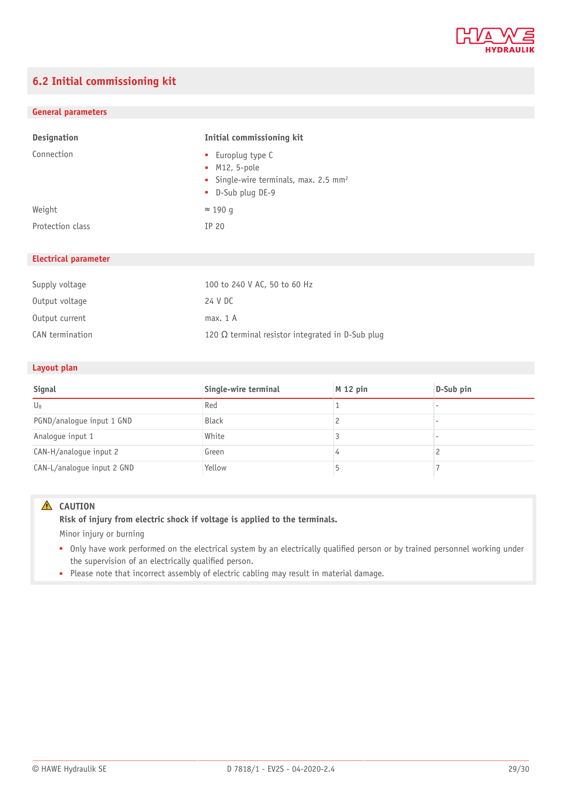

## <span id="page-28-0"></span>**6.2 Initial commissioning kit**

#### **General parameters**

| <b>Designation</b> | Initial commissioning kit                                                                                    |
|--------------------|--------------------------------------------------------------------------------------------------------------|
| Connection         | • Europlug type C<br>$M12, 5-pole$<br>• Single-wire terminals, max. 2.5 mm <sup>2</sup><br>• D-Sub plug DE-9 |
| Weight             | $\approx$ 190 g                                                                                              |
| Protection class   | IP 20                                                                                                        |

#### **Electrical parameter**

| Supply voltage  | 100 to 240 V AC, 50 to 60 Hz                            |
|-----------------|---------------------------------------------------------|
| Output voltage  | 24 V DC                                                 |
| Output current  | max. 1 A                                                |
| CAN termination | 120 $\Omega$ terminal resistor integrated in D-Sub plug |

#### **Layout plan**

| Signal                     | Single-wire terminal | $M$ 12 pin | D-Sub pin |
|----------------------------|----------------------|------------|-----------|
| $U_{B}$                    | Red                  |            |           |
| PGND/analogue input 1 GND  | <b>Black</b>         |            |           |
| Analogue input 1           | White                |            |           |
| CAN-H/analogue input 2     | Green                |            |           |
| CAN-L/analogue input 2 GND | Yellow               |            |           |

#### **A** CAUTION

#### **Risk of injury from electric shock if voltage is applied to the terminals.**

Minor injury or burning

- Only have work performed on the electrical system by an electrically qualified person or by trained personnel working under the supervision of an electrically qualified person.
- Please note that incorrect assembly of electric cabling may result in material damage.